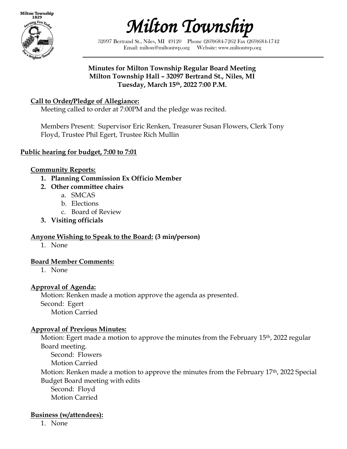

*Milton Township* 

32097 Bertrand St., Niles, MI 49120 Phone (269)684-7262 Fax (269)684-1742 Email: milton@miltontwp.org Website: www.miltontwp.org

#### **Minutes for Milton Township Regular Board Meeting Milton Township Hall – 32097 Bertrand St., Niles, MI Tuesday, March 15th, 2022 7:00 P.M.**

# **Call to Order/Pledge of Allegiance:**

Meeting called to order at 7:00PM and the pledge was recited.

Members Present: Supervisor Eric Renken, Treasurer Susan Flowers, Clerk Tony Floyd, Trustee Phil Egert, Trustee Rich Mullin

#### **Public hearing for budget, 7:00 to 7:01**

#### **Community Reports:**

- **1. Planning Commission Ex Officio Member**
- **2. Other committee chairs**
	- a. SMCAS
	- b. Elections
	- c. Board of Review
- **3. Visiting officials**

#### **Anyone Wishing to Speak to the Board: (3 min/person)**

1. None

#### **Board Member Comments:**

1. None

#### **Approval of Agenda:**

Motion: Renken made a motion approve the agenda as presented. Second: Egert Motion Carried

#### **Approval of Previous Minutes:**

Motion: Egert made a motion to approve the minutes from the February 15<sup>th</sup>, 2022 regular Board meeting.

Second: Flowers Motion Carried

Motion: Renken made a motion to approve the minutes from the February 17<sup>th</sup>, 2022 Special Budget Board meeting with edits

Second: Floyd Motion Carried

#### **Business (w/attendees):**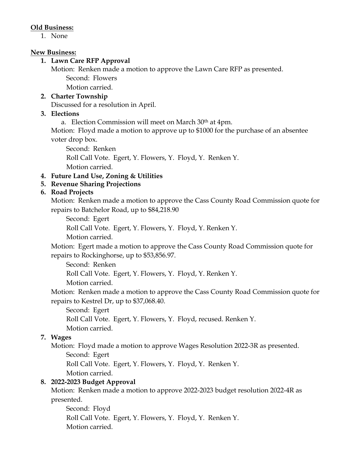#### **Old Business:**

1. None

#### **New Business:**

#### **1. Lawn Care RFP Approval**

Motion: Renken made a motion to approve the Lawn Care RFP as presented. Second: Flowers

Motion carried.

### **2. Charter Township**

Discussed for a resolution in April.

### **3. Elections**

a. Election Commission will meet on March 30th at 4pm.

Motion: Floyd made a motion to approve up to \$1000 for the purchase of an absentee voter drop box.

Second: Renken Roll Call Vote. Egert, Y. Flowers, Y. Floyd, Y. Renken Y. Motion carried.

### **4. Future Land Use, Zoning & Utilities**

# **5. Revenue Sharing Projections**

### **6. Road Projects**

Motion: Renken made a motion to approve the Cass County Road Commission quote for repairs to Batchelor Road, up to \$84,218.90

Second: Egert

Roll Call Vote. Egert, Y. Flowers, Y. Floyd, Y. Renken Y.

Motion carried.

Motion: Egert made a motion to approve the Cass County Road Commission quote for repairs to Rockinghorse, up to \$53,856.97.

Second: Renken

Roll Call Vote. Egert, Y. Flowers, Y. Floyd, Y. Renken Y.

Motion carried.

Motion: Renken made a motion to approve the Cass County Road Commission quote for repairs to Kestrel Dr, up to \$37,068.40.

Second: Egert

Roll Call Vote. Egert, Y. Flowers, Y. Floyd, recused. Renken Y.

Motion carried.

# **7. Wages**

Motion: Floyd made a motion to approve Wages Resolution 2022-3R as presented.

Second: Egert

Roll Call Vote. Egert, Y. Flowers, Y. Floyd, Y. Renken Y.

Motion carried.

# **8. 2022-2023 Budget Approval**

Motion: Renken made a motion to approve 2022-2023 budget resolution 2022-4R as presented.

Second: Floyd Roll Call Vote. Egert, Y. Flowers, Y. Floyd, Y. Renken Y. Motion carried.